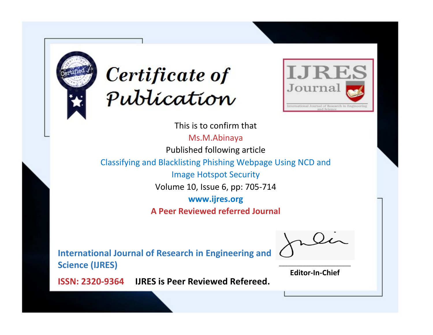



This is to confirm that

Ms.M.Abinaya Published following article

Classifying and Blacklisting Phishing Webpage Using NCD and

Image Hotspot Security

Volume 10, Issue 6, pp: 705-714

**www.ijres.org**

**A Peer Reviewed referred Journal**

**International Journal of Research in Engineering and Science (IJRES)**

\_\_\_\_\_\_\_\_\_\_\_\_\_\_\_\_\_\_\_\_\_\_\_\_ **Editor-In-Chief**

**Journal.**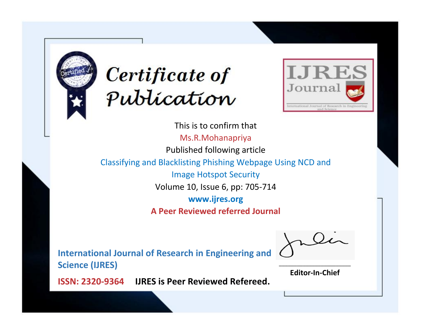



This is to confirm that Ms.R.Mohanapriya Published following article Classifying and Blacklisting Phishing Webpage Using NCD and Image Hotspot Security Volume 10, Issue 6, pp: 705-714 **www.ijres.org A Peer Reviewed referred Journal**

**International Journal of Research in Engineering and Science (IJRES)**

\_\_\_\_\_\_\_\_\_\_\_\_\_\_\_\_\_\_\_\_\_\_\_\_ **Editor-In-Chief**

**Journal.**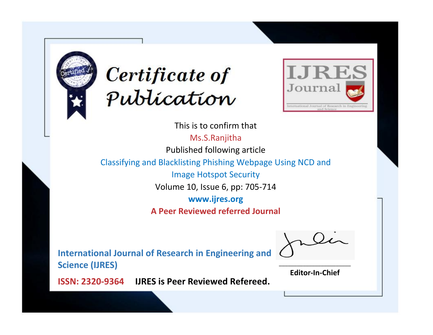



This is to confirm that Ms.S.Ranjitha Published following article Classifying and Blacklisting Phishing Webpage Using NCD and Image Hotspot Security Volume 10, Issue 6, pp: 705-714 **www.ijres.org A Peer Reviewed referred Journal**

**International Journal of Research in Engineering and Science (IJRES)**

\_\_\_\_\_\_\_\_\_\_\_\_\_\_\_\_\_\_\_\_\_\_\_\_ **Editor-In-Chief**

**Journal.**